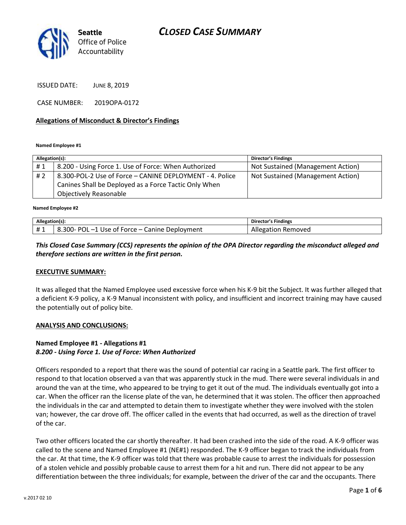

ISSUED DATE: JUNE 8, 2019

CASE NUMBER: 2019OPA-0172

### **Allegations of Misconduct & Director's Findings**

**Named Employee #1**

| Allegation(s): |                                                          | <b>Director's Findings</b>        |
|----------------|----------------------------------------------------------|-----------------------------------|
| #1             | 8.200 - Using Force 1. Use of Force: When Authorized     | Not Sustained (Management Action) |
| #2             | 8.300-POL-2 Use of Force - CANINE DEPLOYMENT - 4. Police | Not Sustained (Management Action) |
|                | Canines Shall be Deployed as a Force Tactic Only When    |                                   |
|                | <b>Objectively Reasonable</b>                            |                                   |

ؚ<br>ا **Named Employee #2**

| Allegation(s <sub>1</sub> . |                                                                              | Finding<br>Director |
|-----------------------------|------------------------------------------------------------------------------|---------------------|
| $\mathbf{H}$<br><br>. .     | ∍ە<br>300-<br>ment<br>anine .<br>* Force – CJ<br>۱ς۵<br>n.<br>m<br>ונונ<br>- | RP.<br>novec<br>-   |

## *This Closed Case Summary (CCS) represents the opinion of the OPA Director regarding the misconduct alleged and therefore sections are written in the first person.*

### **EXECUTIVE SUMMARY:**

It was alleged that the Named Employee used excessive force when his K-9 bit the Subject. It was further alleged that a deficient K-9 policy, a K-9 Manual inconsistent with policy, and insufficient and incorrect training may have caused the potentially out of policy bite.

### **ANALYSIS AND CONCLUSIONS:**

## **Named Employee #1 - Allegations #1** *8.200 - Using Force 1. Use of Force: When Authorized*

Officers responded to a report that there was the sound of potential car racing in a Seattle park. The first officer to respond to that location observed a van that was apparently stuck in the mud. There were several individuals in and around the van at the time, who appeared to be trying to get it out of the mud. The individuals eventually got into a car. When the officer ran the license plate of the van, he determined that it was stolen. The officer then approached the individuals in the car and attempted to detain them to investigate whether they were involved with the stolen van; however, the car drove off. The officer called in the events that had occurred, as well as the direction of travel of the car.

Two other officers located the car shortly thereafter. It had been crashed into the side of the road. A K-9 officer was called to the scene and Named Employee #1 (NE#1) responded. The K-9 officer began to track the individuals from the car. At that time, the K-9 officer was told that there was probable cause to arrest the individuals for possession of a stolen vehicle and possibly probable cause to arrest them for a hit and run. There did not appear to be any differentiation between the three individuals; for example, between the driver of the car and the occupants. There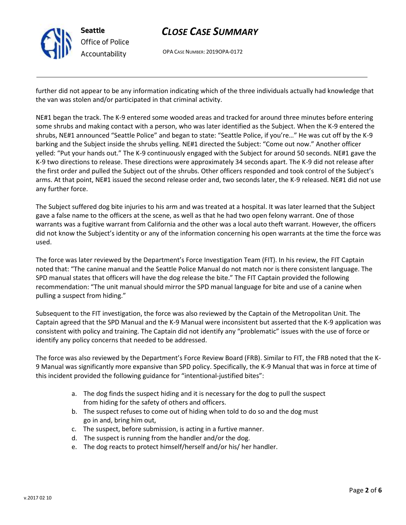

OPA CASE NUMBER: 2019OPA-0172

further did not appear to be any information indicating which of the three individuals actually had knowledge that the van was stolen and/or participated in that criminal activity.

NE#1 began the track. The K-9 entered some wooded areas and tracked for around three minutes before entering some shrubs and making contact with a person, who was later identified as the Subject. When the K-9 entered the shrubs, NE#1 announced "Seattle Police" and began to state: "Seattle Police, if you're…" He was cut off by the K-9 barking and the Subject inside the shrubs yelling. NE#1 directed the Subject: "Come out now." Another officer yelled: "Put your hands out." The K-9 continuously engaged with the Subject for around 50 seconds. NE#1 gave the K-9 two directions to release. These directions were approximately 34 seconds apart. The K-9 did not release after the first order and pulled the Subject out of the shrubs. Other officers responded and took control of the Subject's arms. At that point, NE#1 issued the second release order and, two seconds later, the K-9 released. NE#1 did not use any further force.

The Subject suffered dog bite injuries to his arm and was treated at a hospital. It was later learned that the Subject gave a false name to the officers at the scene, as well as that he had two open felony warrant. One of those warrants was a fugitive warrant from California and the other was a local auto theft warrant. However, the officers did not know the Subject's identity or any of the information concerning his open warrants at the time the force was used.

The force was later reviewed by the Department's Force Investigation Team (FIT). In his review, the FIT Captain noted that: "The canine manual and the Seattle Police Manual do not match nor is there consistent language. The SPD manual states that officers will have the dog release the bite." The FIT Captain provided the following recommendation: "The unit manual should mirror the SPD manual language for bite and use of a canine when pulling a suspect from hiding."

Subsequent to the FIT investigation, the force was also reviewed by the Captain of the Metropolitan Unit. The Captain agreed that the SPD Manual and the K-9 Manual were inconsistent but asserted that the K-9 application was consistent with policy and training. The Captain did not identify any "problematic" issues with the use of force or identify any policy concerns that needed to be addressed.

The force was also reviewed by the Department's Force Review Board (FRB). Similar to FIT, the FRB noted that the K-9 Manual was significantly more expansive than SPD policy. Specifically, the K-9 Manual that was in force at time of this incident provided the following guidance for "intentional-justified bites":

- a. The dog finds the suspect hiding and it is necessary for the dog to pull the suspect from hiding for the safety of others and officers.
- b. The suspect refuses to come out of hiding when told to do so and the dog must go in and, bring him out,
- c. The suspect, before submission, is acting in a furtive manner.
- d. The suspect is running from the handler and/or the dog.
- e. The dog reacts to protect himself/herself and/or his/ her handler.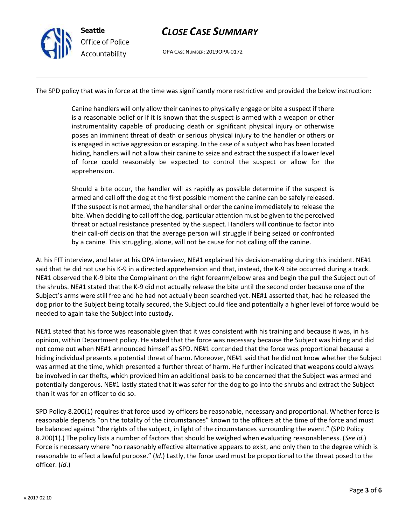

OPA CASE NUMBER: 2019OPA-0172

The SPD policy that was in force at the time was significantly more restrictive and provided the below instruction:

Canine handlers will only allow their canines to physically engage or bite a suspect if there is a reasonable belief or if it is known that the suspect is armed with a weapon or other instrumentality capable of producing death or significant physical injury or otherwise poses an imminent threat of death or serious physical injury to the handler or others or is engaged in active aggression or escaping. In the case of a subject who has been located hiding, handlers will not allow their canine to seize and extract the suspect if a lower level of force could reasonably be expected to control the suspect or allow for the apprehension.

Should a bite occur, the handler will as rapidly as possible determine if the suspect is armed and call off the dog at the first possible moment the canine can be safely released. If the suspect is not armed, the handler shall order the canine immediately to release the bite. When deciding to call off the dog, particular attention must be given to the perceived threat or actual resistance presented by the suspect. Handlers will continue to factor into their call-off decision that the average person will struggle if being seized or confronted by a canine. This struggling, alone, will not be cause for not calling off the canine.

At his FIT interview, and later at his OPA interview, NE#1 explained his decision-making during this incident. NE#1 said that he did not use his K-9 in a directed apprehension and that, instead, the K-9 bite occurred during a track. NE#1 observed the K-9 bite the Complainant on the right forearm/elbow area and begin the pull the Subject out of the shrubs. NE#1 stated that the K-9 did not actually release the bite until the second order because one of the Subject's arms were still free and he had not actually been searched yet. NE#1 asserted that, had he released the dog prior to the Subject being totally secured, the Subject could flee and potentially a higher level of force would be needed to again take the Subject into custody.

NE#1 stated that his force was reasonable given that it was consistent with his training and because it was, in his opinion, within Department policy. He stated that the force was necessary because the Subject was hiding and did not come out when NE#1 announced himself as SPD. NE#1 contended that the force was proportional because a hiding individual presents a potential threat of harm. Moreover, NE#1 said that he did not know whether the Subject was armed at the time, which presented a further threat of harm. He further indicated that weapons could always be involved in car thefts, which provided him an additional basis to be concerned that the Subject was armed and potentially dangerous. NE#1 lastly stated that it was safer for the dog to go into the shrubs and extract the Subject than it was for an officer to do so.

SPD Policy 8.200(1) requires that force used by officers be reasonable, necessary and proportional. Whether force is reasonable depends "on the totality of the circumstances" known to the officers at the time of the force and must be balanced against "the rights of the subject, in light of the circumstances surrounding the event." (SPD Policy 8.200(1).) The policy lists a number of factors that should be weighed when evaluating reasonableness. (*See id*.) Force is necessary where "no reasonably effective alternative appears to exist, and only then to the degree which is reasonable to effect a lawful purpose." (*Id*.) Lastly, the force used must be proportional to the threat posed to the officer. (*Id*.)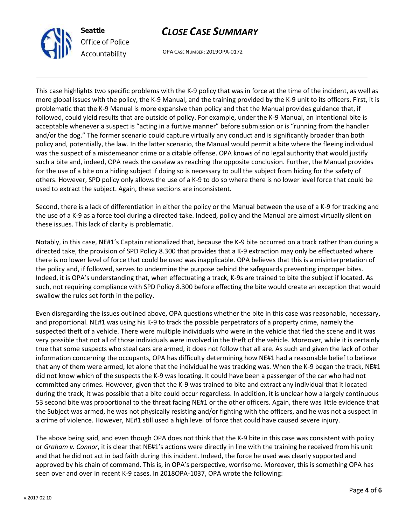

OPA CASE NUMBER: 2019OPA-0172

This case highlights two specific problems with the K-9 policy that was in force at the time of the incident, as well as more global issues with the policy, the K-9 Manual, and the training provided by the K-9 unit to its officers. First, it is problematic that the K-9 Manual is more expansive than policy and that the Manual provides guidance that, if followed, could yield results that are outside of policy. For example, under the K-9 Manual, an intentional bite is acceptable whenever a suspect is "acting in a furtive manner" before submission or is "running from the handler and/or the dog." The former scenario could capture virtually any conduct and is significantly broader than both policy and, potentially, the law. In the latter scenario, the Manual would permit a bite where the fleeing individual was the suspect of a misdemeanor crime or a citable offense. OPA knows of no legal authority that would justify such a bite and, indeed, OPA reads the caselaw as reaching the opposite conclusion. Further, the Manual provides for the use of a bite on a hiding subject if doing so is necessary to pull the subject from hiding for the safety of others. However, SPD policy only allows the use of a K-9 to do so where there is no lower level force that could be used to extract the subject. Again, these sections are inconsistent.

Second, there is a lack of differentiation in either the policy or the Manual between the use of a K-9 for tracking and the use of a K-9 as a force tool during a directed take. Indeed, policy and the Manual are almost virtually silent on these issues. This lack of clarity is problematic.

Notably, in this case, NE#1's Captain rationalized that, because the K-9 bite occurred on a track rather than during a directed take, the provision of SPD Policy 8.300 that provides that a K-9 extraction may only be effectuated where there is no lower level of force that could be used was inapplicable. OPA believes that this is a misinterpretation of the policy and, if followed, serves to undermine the purpose behind the safeguards preventing improper bites. Indeed, it is OPA's understanding that, when effectuating a track, K-9s are trained to bite the subject if located. As such, not requiring compliance with SPD Policy 8.300 before effecting the bite would create an exception that would swallow the rules set forth in the policy.

Even disregarding the issues outlined above, OPA questions whether the bite in this case was reasonable, necessary, and proportional. NE#1 was using his K-9 to track the possible perpetrators of a property crime, namely the suspected theft of a vehicle. There were multiple individuals who were in the vehicle that fled the scene and it was very possible that not all of those individuals were involved in the theft of the vehicle. Moreover, while it is certainly true that some suspects who steal cars are armed, it does not follow that all are. As such and given the lack of other information concerning the occupants, OPA has difficulty determining how NE#1 had a reasonable belief to believe that any of them were armed, let alone that the individual he was tracking was. When the K-9 began the track, NE#1 did not know which of the suspects the K-9 was locating. It could have been a passenger of the car who had not committed any crimes. However, given that the K-9 was trained to bite and extract any individual that it located during the track, it was possible that a bite could occur regardless. In addition, it is unclear how a largely continuous 53 second bite was proportional to the threat facing NE#1 or the other officers. Again, there was little evidence that the Subject was armed, he was not physically resisting and/or fighting with the officers, and he was not a suspect in a crime of violence. However, NE#1 still used a high level of force that could have caused severe injury.

The above being said, and even though OPA does not think that the K-9 bite in this case was consistent with policy or *Graham v. Connor*, it is clear that NE#1's actions were directly in line with the training he received from his unit and that he did not act in bad faith during this incident. Indeed, the force he used was clearly supported and approved by his chain of command. This is, in OPA's perspective, worrisome. Moreover, this is something OPA has seen over and over in recent K-9 cases. In 2018OPA-1037, OPA wrote the following: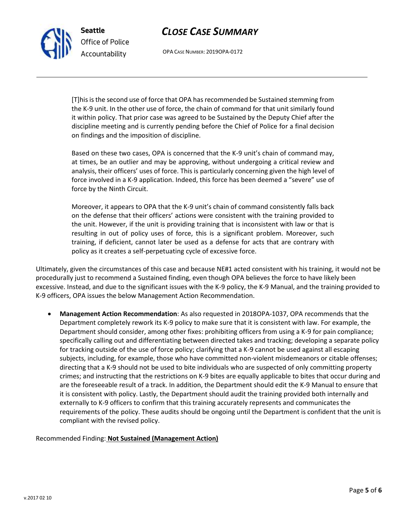OPA CASE NUMBER: 2019OPA-0172

[T]his is the second use of force that OPA has recommended be Sustained stemming from the K-9 unit. In the other use of force, the chain of command for that unit similarly found it within policy. That prior case was agreed to be Sustained by the Deputy Chief after the discipline meeting and is currently pending before the Chief of Police for a final decision on findings and the imposition of discipline.

Based on these two cases, OPA is concerned that the K-9 unit's chain of command may, at times, be an outlier and may be approving, without undergoing a critical review and analysis, their officers' uses of force. This is particularly concerning given the high level of force involved in a K-9 application. Indeed, this force has been deemed a "severe" use of force by the Ninth Circuit.

Moreover, it appears to OPA that the K-9 unit's chain of command consistently falls back on the defense that their officers' actions were consistent with the training provided to the unit. However, if the unit is providing training that is inconsistent with law or that is resulting in out of policy uses of force, this is a significant problem. Moreover, such training, if deficient, cannot later be used as a defense for acts that are contrary with policy as it creates a self-perpetuating cycle of excessive force.

Ultimately, given the circumstances of this case and because NE#1 acted consistent with his training, it would not be procedurally just to recommend a Sustained finding, even though OPA believes the force to have likely been excessive. Instead, and due to the significant issues with the K-9 policy, the K-9 Manual, and the training provided to K-9 officers, OPA issues the below Management Action Recommendation.

• **Management Action Recommendation**: As also requested in 2018OPA-1037, OPA recommends that the Department completely rework its K-9 policy to make sure that it is consistent with law. For example, the Department should consider, among other fixes: prohibiting officers from using a K-9 for pain compliance; specifically calling out and differentiating between directed takes and tracking; developing a separate policy for tracking outside of the use of force policy; clarifying that a K-9 cannot be used against all escaping subjects, including, for example, those who have committed non-violent misdemeanors or citable offenses; directing that a K-9 should not be used to bite individuals who are suspected of only committing property crimes; and instructing that the restrictions on K-9 bites are equally applicable to bites that occur during and are the foreseeable result of a track. In addition, the Department should edit the K-9 Manual to ensure that it is consistent with policy. Lastly, the Department should audit the training provided both internally and externally to K-9 officers to confirm that this training accurately represents and communicates the requirements of the policy. These audits should be ongoing until the Department is confident that the unit is compliant with the revised policy.

### Recommended Finding: **Not Sustained (Management Action)**



**Seattle**

*Office of Police Accountability*